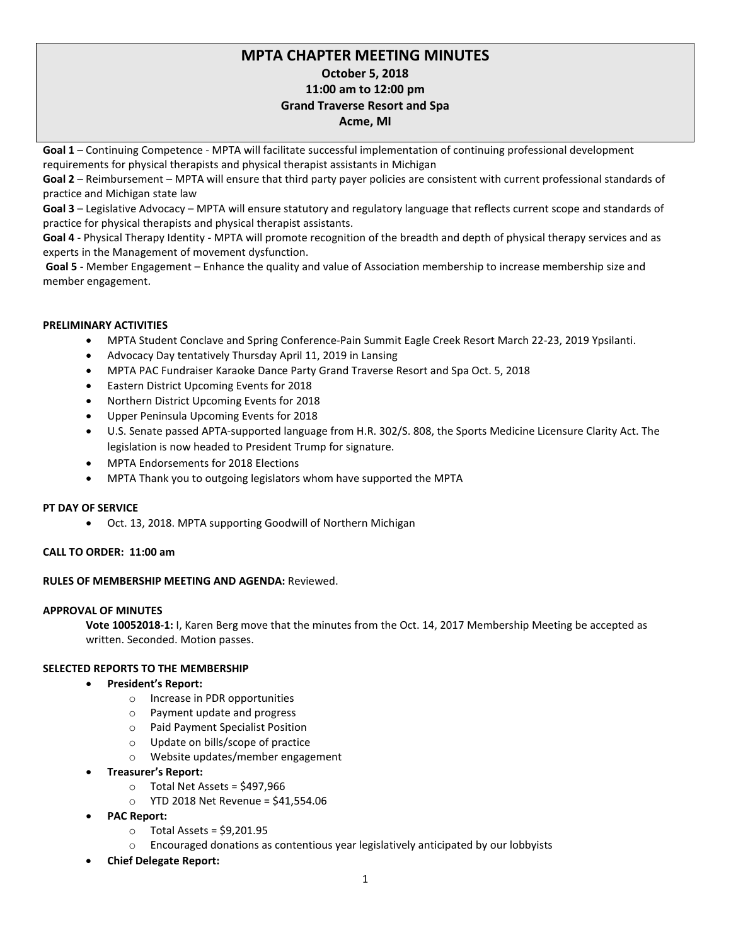# **MPTA CHAPTER MEETING MINUTES October 5, 2018 11:00 am to 12:00 pm Grand Traverse Resort and Spa Acme, MI**

**Goal 1** – Continuing Competence - MPTA will facilitate successful implementation of continuing professional development requirements for physical therapists and physical therapist assistants in Michigan

**Goal 2** – Reimbursement – MPTA will ensure that third party payer policies are consistent with current professional standards of practice and Michigan state law

**Goal 3** – Legislative Advocacy – MPTA will ensure statutory and regulatory language that reflects current scope and standards of practice for physical therapists and physical therapist assistants.

**Goal 4** - Physical Therapy Identity - MPTA will promote recognition of the breadth and depth of physical therapy services and as experts in the Management of movement dysfunction.

**Goal 5** - Member Engagement – Enhance the quality and value of Association membership to increase membership size and member engagement.

### **PRELIMINARY ACTIVITIES**

- MPTA Student Conclave and Spring Conference-Pain Summit Eagle Creek Resort March 22-23, 2019 Ypsilanti.
- Advocacy Day tentatively Thursday April 11, 2019 in Lansing
- MPTA PAC Fundraiser Karaoke Dance Party Grand Traverse Resort and Spa Oct. 5, 2018
- Eastern District Upcoming Events for 2018
- Northern District Upcoming Events for 2018
- Upper Peninsula Upcoming Events for 2018
- U.S. Senate passed APTA-supported language from H.R. 302/S. 808, the Sports Medicine Licensure Clarity Act. The legislation is now headed to President Trump for signature.
- MPTA Endorsements for 2018 Elections
- MPTA Thank you to outgoing legislators whom have supported the MPTA

#### **PT DAY OF SERVICE**

• Oct. 13, 2018. MPTA supporting Goodwill of Northern Michigan

### **CALL TO ORDER: 11:00 am**

#### **RULES OF MEMBERSHIP MEETING AND AGENDA:** Reviewed.

### **APPROVAL OF MINUTES**

**Vote 10052018-1:** I, Karen Berg move that the minutes from the Oct. 14, 2017 Membership Meeting be accepted as written. Seconded. Motion passes.

### **SELECTED REPORTS TO THE MEMBERSHIP**

- **President's Report:**
	- o Increase in PDR opportunities
	- o Payment update and progress
	- o Paid Payment Specialist Position
	- o Update on bills/scope of practice
	- o Website updates/member engagement
- **Treasurer's Report:** 
	- o Total Net Assets = \$497,966
	- o YTD 2018 Net Revenue = \$41,554.06
- **PAC Report:**
	- $\circ$  Total Assets = \$9,201.95
	- $\circ$  Encouraged donations as contentious year legislatively anticipated by our lobbyists
- **Chief Delegate Report:**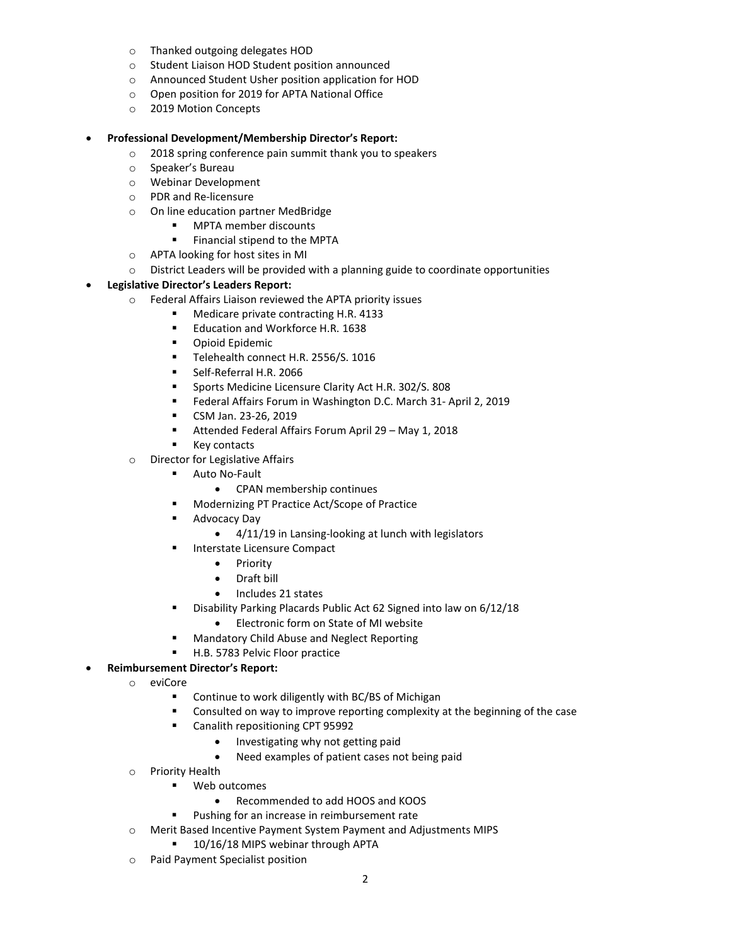- o Thanked outgoing delegates HOD
- o Student Liaison HOD Student position announced
- o Announced Student Usher position application for HOD
- o Open position for 2019 for APTA National Office
- o 2019 Motion Concepts

#### • **Professional Development/Membership Director's Report:**

- o 2018 spring conference pain summit thank you to speakers
- o Speaker's Bureau
- o Webinar Development
- o PDR and Re-licensure
- o On line education partner MedBridge
	- **•** MPTA member discounts
	- **Financial stipend to the MPTA**
- o APTA looking for host sites in MI
- o District Leaders will be provided with a planning guide to coordinate opportunities

# • **Legislative Director's Leaders Report:**

- $\circ$  Federal Affairs Liaison reviewed the APTA priority issues<br>
Medicare private contracting H R 4133
	- Medicare private contracting H.R. 4133
	- **Education and Workforce H.R. 1638**
	- **•** Opioid Epidemic
	- Telehealth connect H.R. 2556/S. 1016
	- **Self-Referral H.R. 2066**
	- Sports Medicine Licensure Clarity Act H.R. 302/S. 808
	- Federal Affairs Forum in Washington D.C. March 31- April 2, 2019
	- CSM Jan. 23-26, 2019
	- Attended Federal Affairs Forum April 29 May 1, 2018
	- Key contacts
- o Director for Legislative Affairs
	- **Auto No-Fault** 
		- CPAN membership continues
	- **Modernizing PT Practice Act/Scope of Practice**
	- **Advocacy Day** 
		- 4/11/19 in Lansing-looking at lunch with legislators
	- **Interstate Licensure Compact** 
		- Priority
		- Draft bill
		- Includes 21 states
	- **Disability Parking Placards Public Act 62 Signed into law on 6/12/18** 
		- Electronic form on State of MI website
	- Mandatory Child Abuse and Neglect Reporting
	- H.B. 5783 Pelvic Floor practice

# • **Reimbursement Director's Report:**

- o eviCore
	- Continue to work diligently with BC/BS of Michigan
	- Consulted on way to improve reporting complexity at the beginning of the case
	- Canalith repositioning CPT 95992
		- Investigating why not getting paid
		- Need examples of patient cases not being paid
- o Priority Health
	- Web outcomes
		- Recommended to add HOOS and KOOS
	- **Pushing for an increase in reimbursement rate**
- o Merit Based Incentive Payment System Payment and Adjustments MIPS
	- 10/16/18 MIPS webinar through APTA
- o Paid Payment Specialist position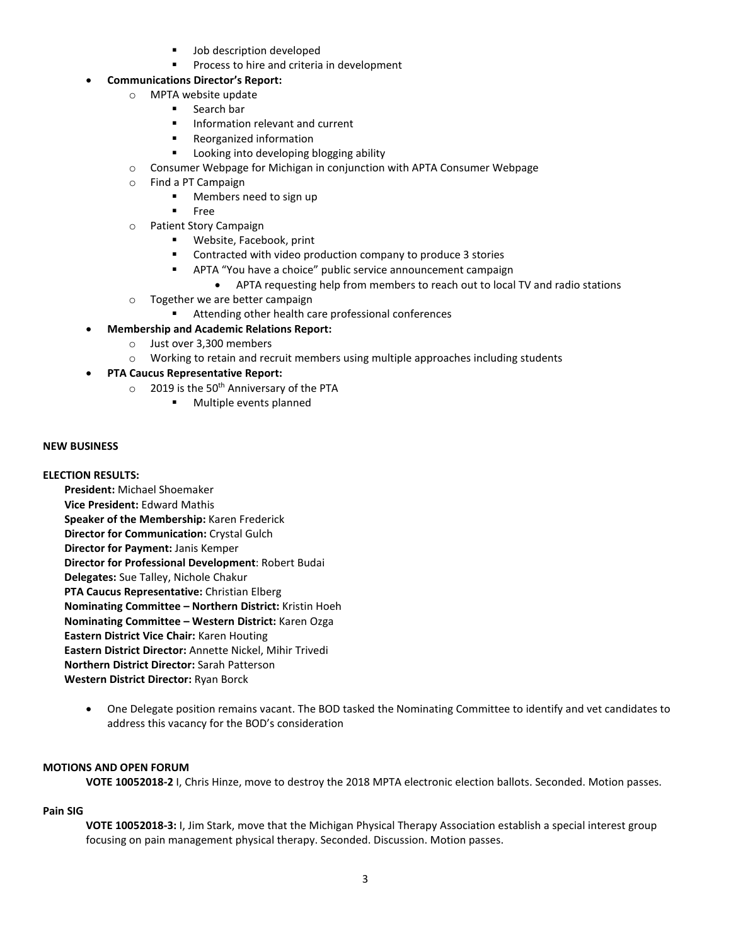- Job description developed
- **Process to hire and criteria in development**

# • **Communications Director's Report:**

- o MPTA website update
	- **Search bar**
	- Information relevant and current
	- **Reorganized information**
	- **Looking into developing blogging ability**
- o Consumer Webpage for Michigan in conjunction with APTA Consumer Webpage
- o Find a PT Campaign
	- **Members need to sign up**
	- **Free**
- o Patient Story Campaign
	- **Website, Facebook, print**
	- Contracted with video production company to produce 3 stories
	- APTA "You have a choice" public service announcement campaign
		- APTA requesting help from members to reach out to local TV and radio stations
- o Together we are better campaign
	- Attending other health care professional conferences
- **Membership and Academic Relations Report:** 
	- o Just over 3,300 members
	- $\circ$  Working to retain and recruit members using multiple approaches including students
- **PTA Caucus Representative Report:** 
	- $\circ$  2019 is the 50<sup>th</sup> Anniversary of the PTA
		- **Multiple events planned**

# **NEW BUSINESS**

### **ELECTION RESULTS:**

- **President:** Michael Shoemaker **Vice President:** Edward Mathis **Speaker of the Membership:** Karen Frederick **Director for Communication:** Crystal Gulch **Director for Payment:** Janis Kemper **Director for Professional Development**: Robert Budai **Delegates:** Sue Talley, Nichole Chakur **PTA Caucus Representative:** Christian Elberg **Nominating Committee – Northern District:** Kristin Hoeh **Nominating Committee – Western District:** Karen Ozga **Eastern District Vice Chair:** Karen Houting **Eastern District Director:** Annette Nickel, Mihir Trivedi **Northern District Director:** Sarah Patterson **Western District Director:** Ryan Borck
	- One Delegate position remains vacant. The BOD tasked the Nominating Committee to identify and vet candidates to address this vacancy for the BOD's consideration

### **MOTIONS AND OPEN FORUM**

**VOTE 10052018-2** I, Chris Hinze, move to destroy the 2018 MPTA electronic election ballots. Seconded. Motion passes.

### **Pain SIG**

**VOTE 10052018-3:** I, Jim Stark, move that the Michigan Physical Therapy Association establish a special interest group focusing on pain management physical therapy. Seconded. Discussion. Motion passes.